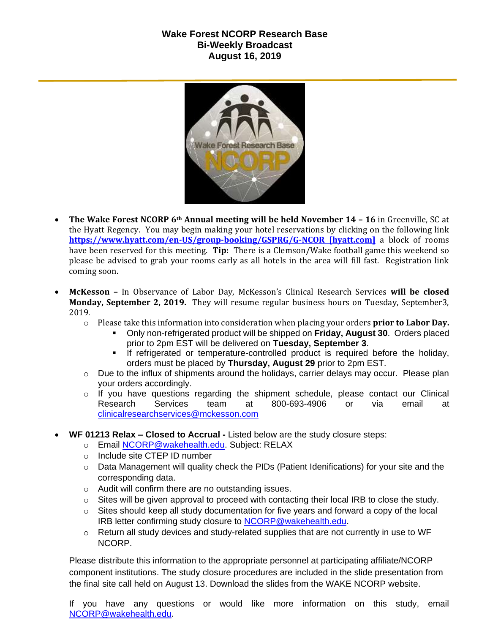## **Wake Forest NCORP Research Base Bi-Weekly Broadcast August 16, 2019**



- **The Wake Forest NCORP 6th Annual meeting will be held November 14 – 16** in Greenville, SC at the Hyatt Regency. You may begin making your hotel reservations by clicking on the following link **[https://www.hyatt.com/en-US/group-booking/GSPRG/G-NCOR \[hyatt.com\]](https://urldefense.proofpoint.com/v2/url?u=https-3A__www.hyatt.com_en-2DUS_group-2Dbooking_GSPRG_G-2DNCOR&d=DwMF-g&c=yzGiX0CSJAqkDTmENO9LmP6KfPQitNABR9M66gsTb5w&r=TnCUknn7SuuKiZZ9xYiqqVGRRW44n91mFcfkV4OTZdE&m=nMl5QpnTqZImfgmQv3WVuZH_olwfmfBEebqvflDwGVA&s=Jokja0iM_Zy6iN0skc6kDqNVUzyUA2YmjssaQyPU1jY&e=)** a block of rooms have been reserved for this meeting. **Tip:** There is a Clemson/Wake football game this weekend so please be advised to grab your rooms early as all hotels in the area will fill fast. Registration link coming soon.
- **McKesson –** In Observance of Labor Day, McKesson's Clinical Research Services **will be closed Monday, September 2, 2019.** They will resume regular business hours on Tuesday, September3, 2019.
	- o Please take this information into consideration when placing your orders **prior to Labor Day.**
		- Only non-refrigerated product will be shipped on **Friday, August 30**. Orders placed prior to 2pm EST will be delivered on **Tuesday, September 3**.
		- If refrigerated or temperature-controlled product is required before the holiday, orders must be placed by **Thursday, August 29** prior to 2pm EST.
	- $\circ$  Due to the influx of shipments around the holidays, carrier delays may occur. Please plan your orders accordingly.
	- $\circ$  If you have questions regarding the shipment schedule, please contact our Clinical Research Services team at 800-693-4906 or via email at [clinicalresearchservices@mckesson.com](mailto:clinicalresearchservices@mckesson.com)
- **WF 01213 Relax – Closed to Accrual -** Listed below are the study closure steps:
	- o Email [NCORP@wakehealth.edu.](mailto:NCORP@wakehealth.edu) Subject: RELAX
	- o Include site CTEP ID number
	- $\circ$  Data Management will quality check the PIDs (Patient Idenifications) for your site and the corresponding data.
	- o Audit will confirm there are no outstanding issues.
	- $\circ$  Sites will be given approval to proceed with contacting their local IRB to close the study.
	- o Sites should keep all study documentation for five years and forward a copy of the local IRB letter confirming study closure to [NCORP@wakehealth.edu.](mailto:NCORP@wakehealth.edu)
	- $\circ$  Return all study devices and study-related supplies that are not currently in use to WF NCORP.

Please distribute this information to the appropriate personnel at participating affiliate/NCORP component institutions. The study closure procedures are included in the slide presentation from the final site call held on August 13. Download the slides from the WAKE NCORP website.

If you have any questions or would like more information on this study, email [NCORP@wakehealth.edu.](mailto:NCORP@wakehealth.edu)